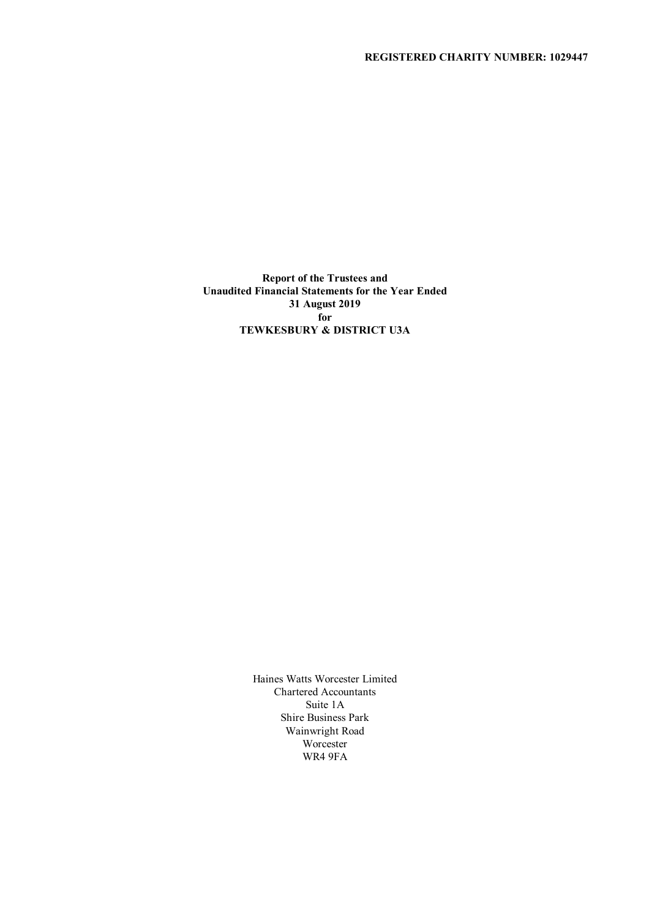# **REGISTERED CHARITY NUMBER: 1029447**

**Report of the Trustees and Unaudited Financial Statements for the Year Ended 31 August 2019 for TEWKESBURY & DISTRICT U3A**

> Haines Watts Worcester Limited Chartered Accountants Suite 1A Shire Business Park Wainwright Road Worcester WR4 9FA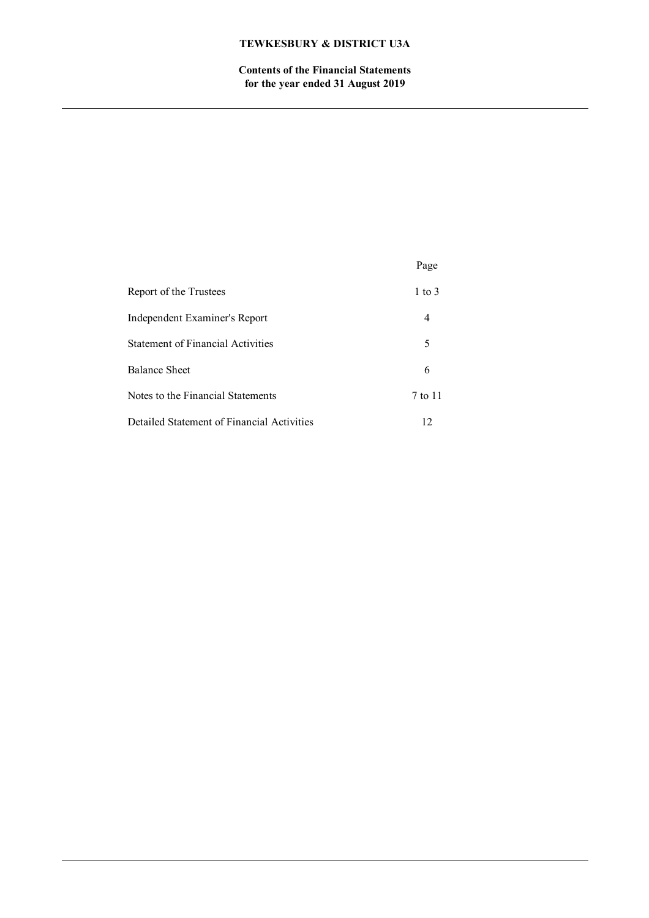**Contents of the Financial Statements for the year ended 31 August 2019**

|                                            | Page              |
|--------------------------------------------|-------------------|
| Report of the Trustees                     | $1 \text{ to } 3$ |
| Independent Examiner's Report              |                   |
| Statement of Financial Activities          | 5                 |
| Balance Sheet                              |                   |
| Notes to the Financial Statements          | 7 to 11           |
| Detailed Statement of Financial Activities | 12                |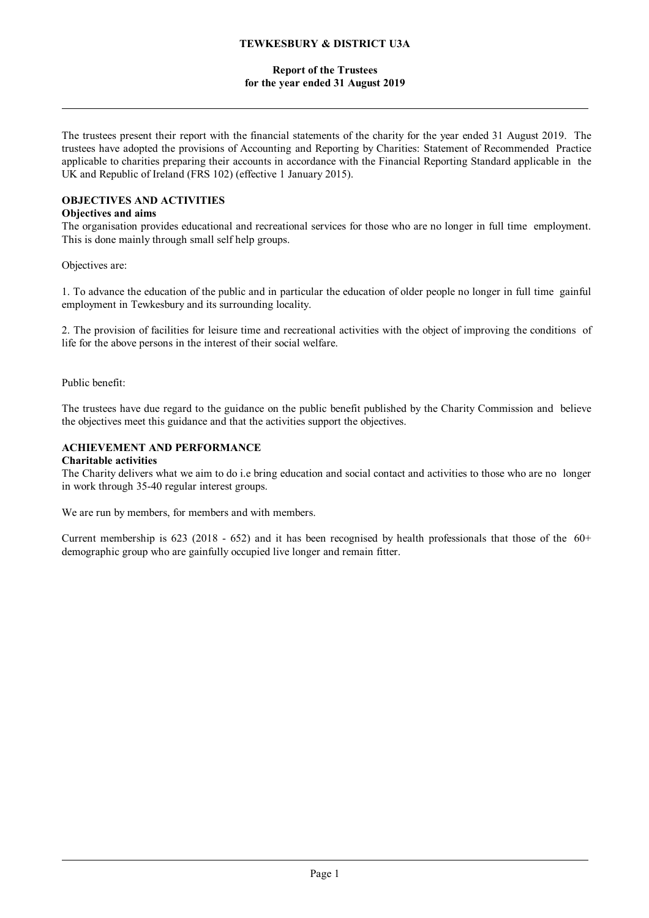## **Report of the Trustees for the year ended 31 August 2019**

The trustees present their report with the financial statements of the charity for the year ended 31 August 2019. The trustees have adopted the provisions of Accounting and Reporting by Charities: Statement of Recommended Practice applicable to charities preparing their accounts in accordance with the Financial Reporting Standard applicable in the UK and Republic of Ireland (FRS 102) (effective 1 January 2015).

# **OBJECTIVES AND ACTIVITIES**

## **Objectives and aims**

The organisation provides educational and recreational services for those who are no longer in full time employment. This is done mainly through small self help groups.

Objectives are:

1. To advance the education of the public and in particular the education of older people no longer in full time gainful employment in Tewkesbury and its surrounding locality.

2. The provision of facilities for leisure time and recreational activities with the object of improving the conditions of life for the above persons in the interest of their social welfare.

Public benefit:

The trustees have due regard to the guidance on the public benefit published by the Charity Commission and believe the objectives meet this guidance and that the activities support the objectives.

# **ACHIEVEMENT AND PERFORMANCE**

## **Charitable activities**

The Charity delivers what we aim to do i.e bring education and social contact and activities to those who are no longer in work through 35-40 regular interest groups.

We are run by members, for members and with members.

Current membership is 623 (2018 - 652) and it has been recognised by health professionals that those of the  $60+$ demographic group who are gainfully occupied live longer and remain fitter.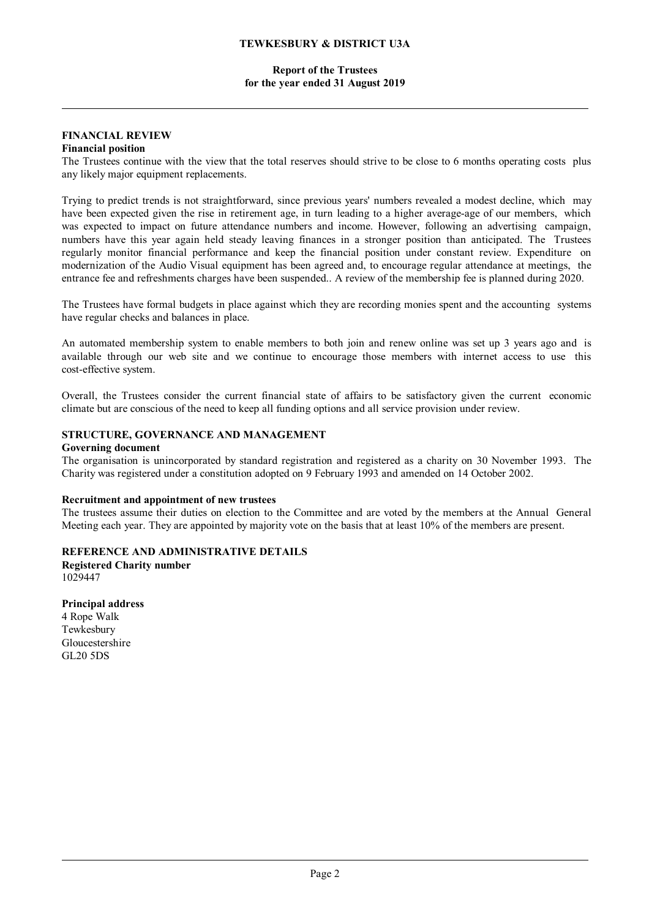## **Report of the Trustees for the year ended 31 August 2019**

## **FINANCIAL REVIEW**

# **Financial position**

The Trustees continue with the view that the total reserves should strive to be close to 6 months operating costs plus any likely major equipment replacements.

Trying to predict trends is not straightforward, since previous years' numbers revealed a modest decline, which may have been expected given the rise in retirement age, in turn leading to a higher average-age of our members, which was expected to impact on future attendance numbers and income. However, following an advertising campaign, numbers have this year again held steady leaving finances in a stronger position than anticipated. The Trustees regularly monitor financial performance and keep the financial position under constant review. Expenditure on modernization of the Audio Visual equipment has been agreed and, to encourage regular attendance at meetings, the entrance fee and refreshments charges have been suspended.. A review of the membership fee is planned during 2020.

The Trustees have formal budgets in place against which they are recording monies spent and the accounting systems have regular checks and balances in place.

An automated membership system to enable members to both join and renew online was set up 3 years ago and is available through our web site and we continue to encourage those members with internet access to use this cost-effective system.

Overall, the Trustees consider the current financial state of affairs to be satisfactory given the current economic climate but are conscious of the need to keep all funding options and all service provision under review.

## **STRUCTURE, GOVERNANCE AND MANAGEMENT**

#### **Governing document**

The organisation is unincorporated by standard registration and registered as a charity on 30 November 1993. The Charity was registered under a constitution adopted on 9 February 1993 and amended on 14 October 2002.

#### **Recruitment and appointment of new trustees**

The trustees assume their duties on election to the Committee and are voted by the members at the Annual General Meeting each year. They are appointed by majority vote on the basis that at least 10% of the members are present.

**REFERENCE AND ADMINISTRATIVE DETAILS Registered Charity number** 1029447

**Principal address** 4 Rope Walk Tewkesbury Gloucestershire GL20 5DS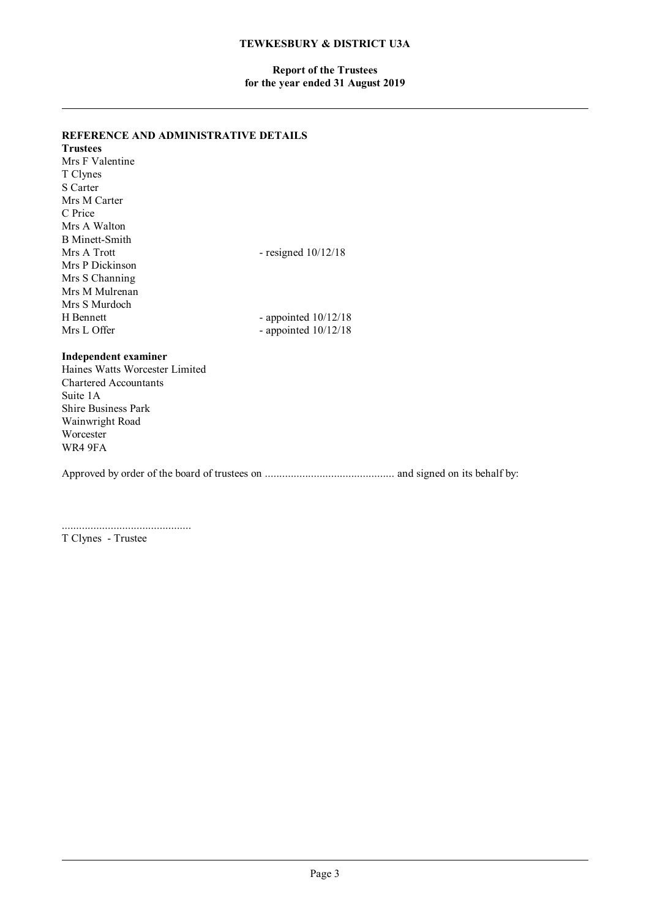## **Report of the Trustees for the year ended 31 August 2019**

## **REFERENCE AND ADMINISTRATIVE DETAILS**

| - resigned $10/12/18$  |
|------------------------|
|                        |
|                        |
|                        |
|                        |
| - appointed $10/12/18$ |
| - appointed $10/12/18$ |
|                        |
|                        |

## **Independent examiner**

Haines Watts Worcester Limited Chartered Accountants Suite 1A Shire Business Park Wainwright Road Worcester WR4 9FA

Approved by order of the board of trustees on ............................................. and signed on its behalf by:

............................................. T Clynes - Trustee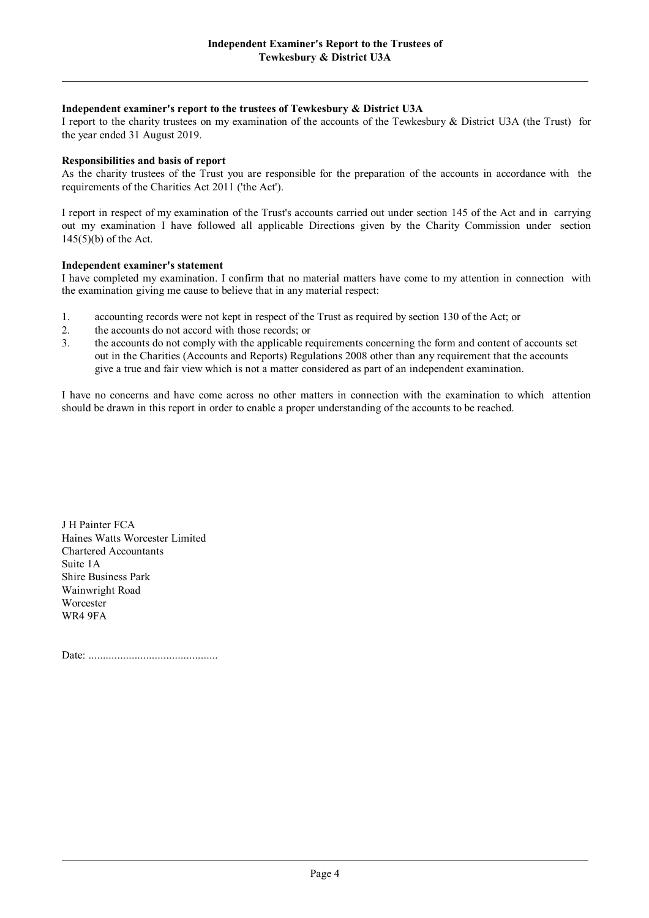## **Independent examiner's report to the trustees of Tewkesbury & District U3A**

I report to the charity trustees on my examination of the accounts of the Tewkesbury & District U3A (the Trust) for the year ended 31 August 2019.

## **Responsibilities and basis of report**

As the charity trustees of the Trust you are responsible for the preparation of the accounts in accordance with the requirements of the Charities Act 2011 ('the Act').

I report in respect of my examination of the Trust's accounts carried out under section 145 of the Act and in carrying out my examination I have followed all applicable Directions given by the Charity Commission under section 145(5)(b) of the Act.

#### **Independent examiner's statement**

I have completed my examination. I confirm that no material matters have come to my attention in connection with the examination giving me cause to believe that in any material respect:

- 1. accounting records were not kept in respect of the Trust as required by section 130 of the Act; or
- 2. the accounts do not accord with those records; or
- 3. the accounts do not comply with the applicable requirements concerning the form and content of accounts set out in the Charities (Accounts and Reports) Regulations 2008 other than any requirement that the accounts give a true and fair view which is not a matter considered as part of an independent examination.

I have no concerns and have come across no other matters in connection with the examination to which attention should be drawn in this report in order to enable a proper understanding of the accounts to be reached.

J H Painter FCA Haines Watts Worcester Limited Chartered Accountants Suite 1A Shire Business Park Wainwright Road Worcester WR4 9FA

Date: .............................................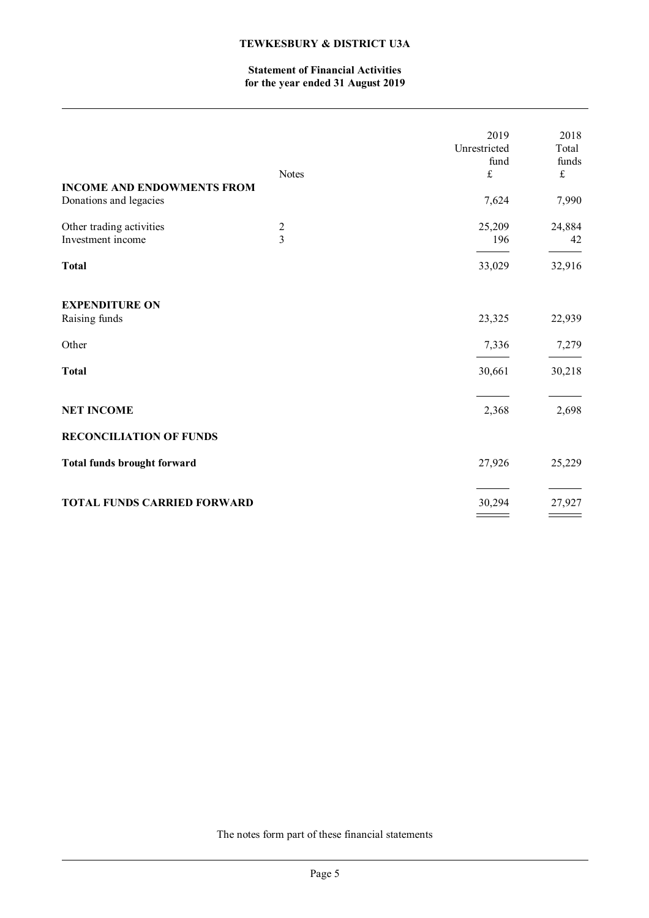# **Statement of Financial Activities for the year ended 31 August 2019**

| <b>INCOME AND ENDOWMENTS FROM</b><br>Donations and legacies     | <b>Notes</b>                 | 2019<br>Unrestricted<br>fund<br>$\pounds$<br>7,624 | 2018<br>Total<br>funds<br>$\pounds$<br>7,990 |
|-----------------------------------------------------------------|------------------------------|----------------------------------------------------|----------------------------------------------|
| Other trading activities<br>Investment income                   | $\sqrt{2}$<br>$\overline{3}$ | 25,209<br>196                                      | 24,884<br>42                                 |
| <b>Total</b>                                                    |                              | 33,029                                             | 32,916                                       |
| <b>EXPENDITURE ON</b><br>Raising funds<br>Other<br><b>Total</b> |                              | 23,325<br>7,336<br>30,661                          | 22,939<br>7,279<br>30,218                    |
| <b>NET INCOME</b>                                               |                              | 2,368                                              | 2,698                                        |
| <b>RECONCILIATION OF FUNDS</b>                                  |                              |                                                    |                                              |
| <b>Total funds brought forward</b>                              |                              | 27,926                                             | 25,229                                       |
| <b>TOTAL FUNDS CARRIED FORWARD</b>                              |                              | 30,294                                             | 27,927                                       |

The notes form part of these financial statements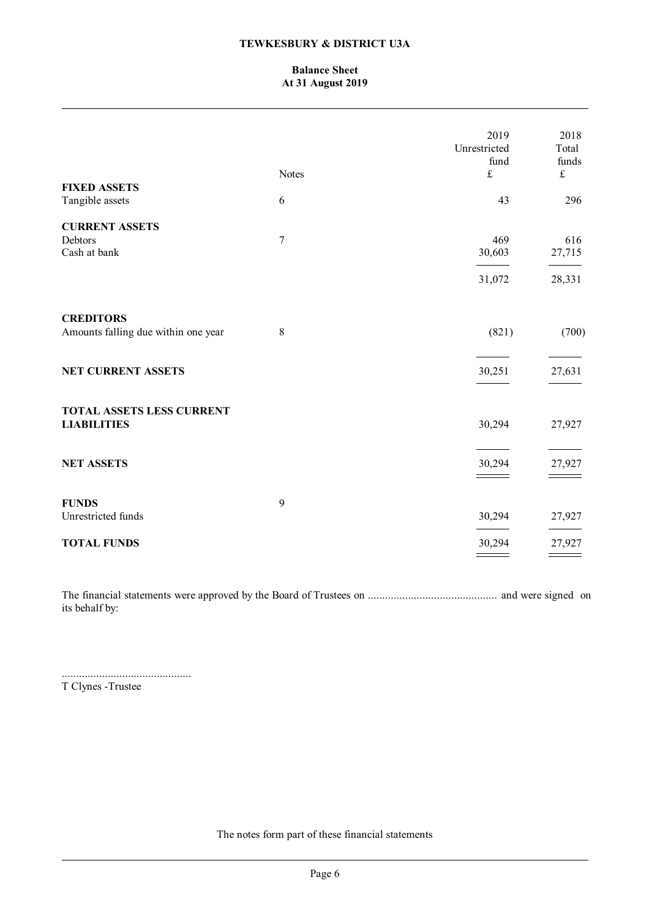# **Balance Sheet At 31 August 2019**

|                                                         | Notes          | 2019<br>Unrestricted<br>fund<br>$\pounds$ | 2018<br>Total<br>funds<br>$\mathbf f$ |
|---------------------------------------------------------|----------------|-------------------------------------------|---------------------------------------|
| <b>FIXED ASSETS</b><br>Tangible assets                  | 6              | 43                                        | 296                                   |
|                                                         |                |                                           |                                       |
| <b>CURRENT ASSETS</b><br>Debtors<br>Cash at bank        | $\overline{7}$ | 469<br>30,603                             | 616<br>27,715                         |
|                                                         |                | 31,072                                    | 28,331                                |
| <b>CREDITORS</b><br>Amounts falling due within one year | 8              | (821)                                     | (700)                                 |
| <b>NET CURRENT ASSETS</b>                               |                | 30,251                                    | 27,631                                |
| <b>TOTAL ASSETS LESS CURRENT</b><br><b>LIABILITIES</b>  |                | 30,294                                    | 27,927                                |
| <b>NET ASSETS</b>                                       |                | 30,294                                    | 27,927                                |
| <b>FUNDS</b><br>Unrestricted funds                      | 9              | 30,294                                    | 27,927                                |
| <b>TOTAL FUNDS</b>                                      |                | 30,294                                    | 27,927                                |

The financial statements were approved by the Board of Trustees on ............................................. and were signed on its behalf by:

.............................................

T Clynes -Trustee

The notes form part of these financial statements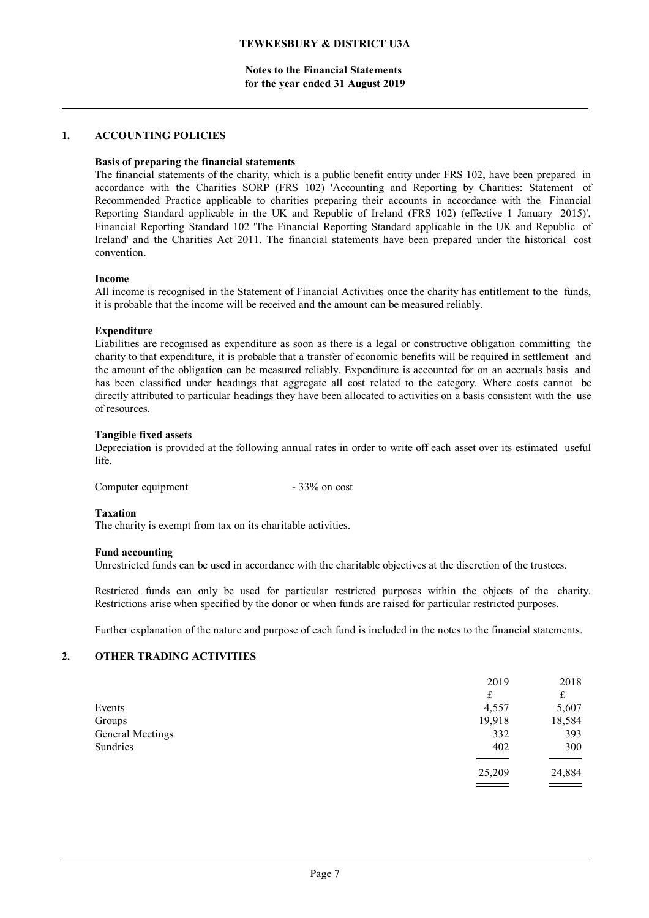**Notes to the Financial Statements for the year ended 31 August 2019**

## **1. ACCOUNTING POLICIES**

#### **Basis of preparing the financial statements**

The financial statements of the charity, which is a public benefit entity under FRS 102, have been prepared in accordance with the Charities SORP (FRS 102) 'Accounting and Reporting by Charities: Statement of Recommended Practice applicable to charities preparing their accounts in accordance with the Financial Reporting Standard applicable in the UK and Republic of Ireland (FRS 102) (effective 1 January 2015)', Financial Reporting Standard 102 'The Financial Reporting Standard applicable in the UK and Republic of Ireland' and the Charities Act 2011. The financial statements have been prepared under the historical cost convention.

#### **Income**

All income is recognised in the Statement of Financial Activities once the charity has entitlement to the funds, it is probable that the income will be received and the amount can be measured reliably.

#### **Expenditure**

Liabilities are recognised as expenditure as soon as there is a legal or constructive obligation committing the charity to that expenditure, it is probable that a transfer of economic benefits will be required in settlement and the amount of the obligation can be measured reliably. Expenditure is accounted for on an accruals basis and has been classified under headings that aggregate all cost related to the category. Where costs cannot be directly attributed to particular headings they have been allocated to activities on a basis consistent with the use of resources.

#### **Tangible fixed assets**

Depreciation is provided at the following annual rates in order to write off each asset over its estimated useful life.

| Computer equipment | $-33\%$ on cost |
|--------------------|-----------------|
|--------------------|-----------------|

#### **Taxation**

The charity is exempt from tax on its charitable activities.

#### **Fund accounting**

Unrestricted funds can be used in accordance with the charitable objectives at the discretion of the trustees.

Restricted funds can only be used for particular restricted purposes within the objects of the charity. Restrictions arise when specified by the donor or when funds are raised for particular restricted purposes.

Further explanation of the nature and purpose of each fund is included in the notes to the financial statements.

## **2. OTHER TRADING ACTIVITIES**

| 2019   | 2018   |
|--------|--------|
| £      | £      |
| 4,557  | 5,607  |
| 19,918 | 18,584 |
| 332    | 393    |
| 402    | 300    |
| 25,209 | 24,884 |
|        |        |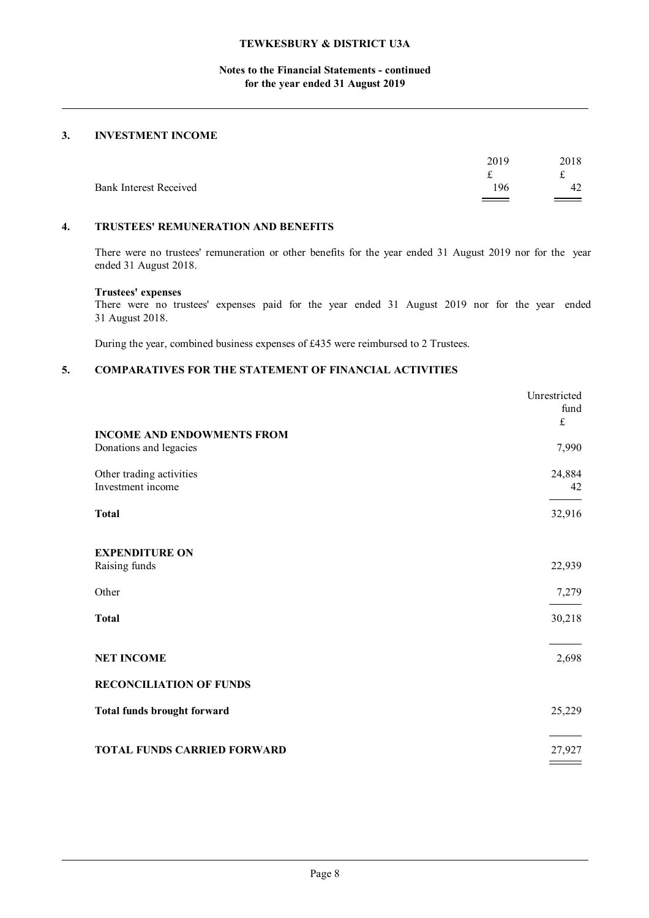# **Notes to the Financial Statements - continued for the year ended 31 August 2019**

# **3. INVESTMENT INCOME**

|                               | 2019 | 2018   |
|-------------------------------|------|--------|
| <b>Bank Interest Received</b> | 196  | 42     |
|                               |      | $\sim$ |

## **4. TRUSTEES' REMUNERATION AND BENEFITS**

There were no trustees' remuneration or other benefits for the year ended 31 August 2019 nor for the year ended 31 August 2018.

#### **Trustees' expenses**

There were no trustees' expenses paid for the year ended 31 August 2019 nor for the year ended 31 August 2018.

During the year, combined business expenses of £435 were reimbursed to 2 Trustees.

# **5. COMPARATIVES FOR THE STATEMENT OF FINANCIAL ACTIVITIES**

|                                    | Unrestricted |
|------------------------------------|--------------|
|                                    | fund         |
| <b>INCOME AND ENDOWMENTS FROM</b>  | $\pounds$    |
| Donations and legacies             | 7,990        |
| Other trading activities           | 24,884       |
| Investment income                  | 42           |
| <b>Total</b>                       | 32,916       |
|                                    |              |
| <b>EXPENDITURE ON</b>              |              |
| Raising funds                      | 22,939       |
| Other                              | 7,279        |
| <b>Total</b>                       | 30,218       |
| <b>NET INCOME</b>                  | 2,698        |
|                                    |              |
| <b>RECONCILIATION OF FUNDS</b>     |              |
| <b>Total funds brought forward</b> | 25,229       |
| <b>TOTAL FUNDS CARRIED FORWARD</b> | 27,927       |
|                                    |              |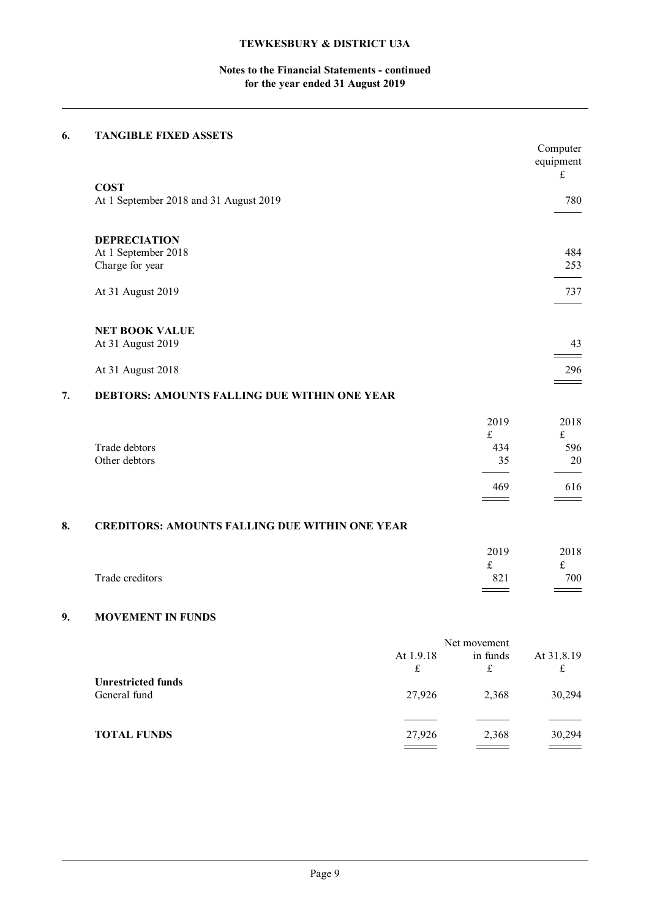# **Notes to the Financial Statements - continued for the year ended 31 August 2019**

# **6. TANGIBLE FIXED ASSETS**

|    |                                                       |           |              | Computer<br>equipment<br>$\mathfrak{L}% _{F}=\mathfrak{L}_{F,\mathbb{R}}\times\mathfrak{L}_{F,\mathbb{R}}\times\mathfrak{L}_{F,\mathbb{R}}\times\mathfrak{L}_{F,\mathbb{R}}$ |
|----|-------------------------------------------------------|-----------|--------------|------------------------------------------------------------------------------------------------------------------------------------------------------------------------------|
|    | <b>COST</b>                                           |           |              |                                                                                                                                                                              |
|    | At 1 September 2018 and 31 August 2019                |           |              | 780                                                                                                                                                                          |
|    |                                                       |           |              |                                                                                                                                                                              |
|    | <b>DEPRECIATION</b><br>At 1 September 2018            |           |              | 484                                                                                                                                                                          |
|    | Charge for year                                       |           |              | 253                                                                                                                                                                          |
|    |                                                       |           |              |                                                                                                                                                                              |
|    | At 31 August 2019                                     |           |              | 737                                                                                                                                                                          |
|    | <b>NET BOOK VALUE</b>                                 |           |              |                                                                                                                                                                              |
|    | At 31 August 2019                                     |           |              | 43                                                                                                                                                                           |
|    | At 31 August 2018                                     |           |              | 296                                                                                                                                                                          |
| 7. | DEBTORS: AMOUNTS FALLING DUE WITHIN ONE YEAR          |           |              |                                                                                                                                                                              |
|    |                                                       |           | 2019         | 2018                                                                                                                                                                         |
|    |                                                       |           | £            | $\mathfrak{t}$                                                                                                                                                               |
|    | Trade debtors                                         |           | 434          | 596                                                                                                                                                                          |
|    | Other debtors                                         |           | 35           | 20                                                                                                                                                                           |
|    |                                                       |           | 469          | 616                                                                                                                                                                          |
| 8. | <b>CREDITORS: AMOUNTS FALLING DUE WITHIN ONE YEAR</b> |           |              |                                                                                                                                                                              |
|    |                                                       |           |              |                                                                                                                                                                              |
|    |                                                       |           | 2019         | 2018                                                                                                                                                                         |
|    | Trade creditors                                       |           | £<br>821     | $\mathfrak{L}% _{F}=\mathfrak{L}_{F,\mathbb{R}}\times\mathfrak{L}_{F,\mathbb{R}}\times\mathfrak{L}_{F,\mathbb{R}}\times\mathfrak{L}_{F,\mathbb{R}}$<br>700                   |
|    |                                                       |           |              |                                                                                                                                                                              |
| 9. | <b>MOVEMENT IN FUNDS</b>                              |           |              |                                                                                                                                                                              |
|    |                                                       |           | Net movement |                                                                                                                                                                              |
|    |                                                       | At 1.9.18 | in funds     | At 31.8.19                                                                                                                                                                   |
|    |                                                       | $\pounds$ | $\pounds$    | $\pounds$                                                                                                                                                                    |
|    | <b>Unrestricted funds</b><br>General fund             | 27,926    | 2,368        | 30,294                                                                                                                                                                       |
|    |                                                       |           |              |                                                                                                                                                                              |

| <b>TOTAL FUNDS</b> | 27,926 | 2.368 | 30,294 |
|--------------------|--------|-------|--------|
|--------------------|--------|-------|--------|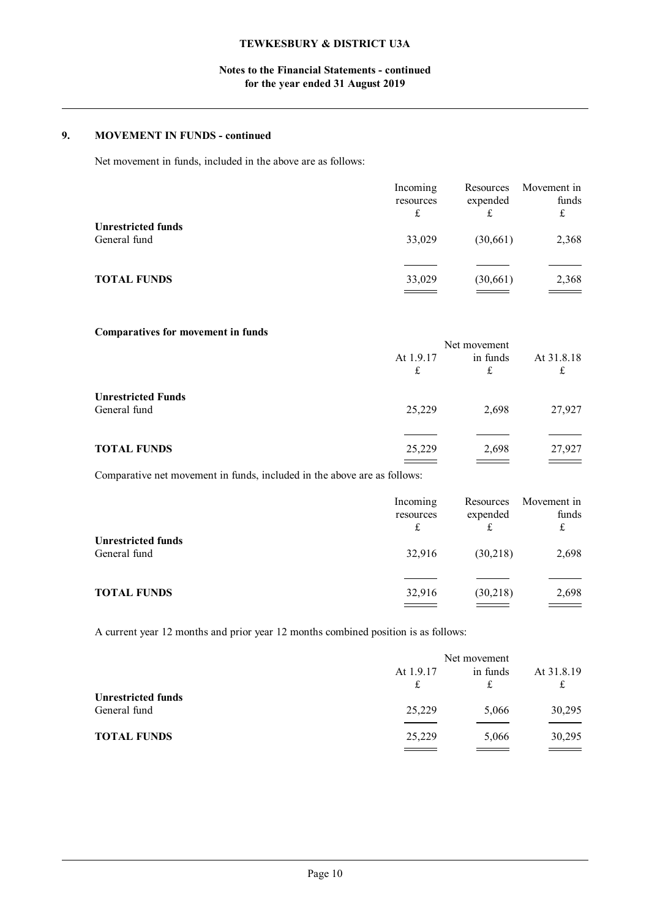# **Notes to the Financial Statements - continued for the year ended 31 August 2019**

## **9. MOVEMENT IN FUNDS - continued**

Net movement in funds, included in the above are as follows:

|                                           | Incoming<br>resources | Resources<br>expended<br>£ | Movement in<br>funds<br>£ |
|-------------------------------------------|-----------------------|----------------------------|---------------------------|
| <b>Unrestricted funds</b><br>General fund | 33,029                | (30,661)                   | 2,368                     |
| <b>TOTAL FUNDS</b>                        | 33,029                | (30, 661)                  | 2,368<br>---              |

## **Comparatives for movement in funds**

|                           | Net movement |          |            |
|---------------------------|--------------|----------|------------|
|                           | At 1.9.17    | in funds | At 31.8.18 |
|                           | £            | £        | £          |
| <b>Unrestricted Funds</b> |              |          |            |
| General fund              | 25,229       | 2,698    | 27,927     |
|                           |              |          |            |
| <b>TOTAL FUNDS</b>        | 25,229       | 2,698    | 27,927     |
|                           |              |          |            |

Comparative net movement in funds, included in the above are as follows:

|                                           | Incoming<br>resources<br>£ | Resources<br>expended<br>£ | Movement in<br>funds<br>£ |
|-------------------------------------------|----------------------------|----------------------------|---------------------------|
| <b>Unrestricted funds</b><br>General fund | 32,916                     | (30,218)                   | 2,698                     |
| <b>TOTAL FUNDS</b>                        | 32,916                     | (30,218)                   | 2,698                     |

A current year 12 months and prior year 12 months combined position is as follows:

|                                           | Net movement |               |                 |
|-------------------------------------------|--------------|---------------|-----------------|
|                                           | At 1.9.17    | in funds<br>£ | At 31.8.19<br>£ |
| <b>Unrestricted funds</b><br>General fund | 25,229       | 5,066         | 30,295          |
| <b>TOTAL FUNDS</b>                        | 25,229       | 5,066         | 30,295          |
|                                           |              |               |                 |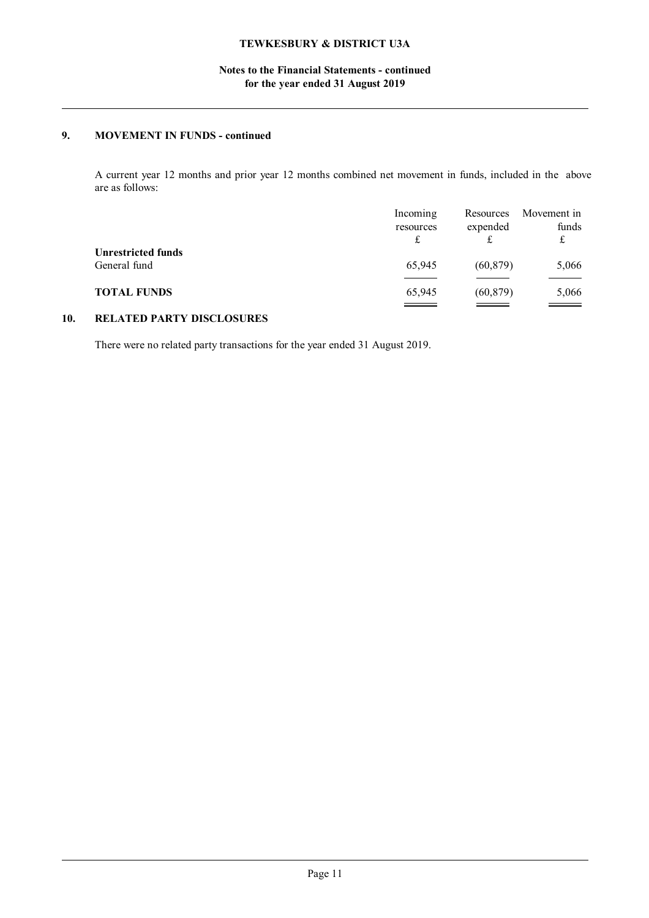# **Notes to the Financial Statements - continued for the year ended 31 August 2019**

# **9. MOVEMENT IN FUNDS - continued**

A current year 12 months and prior year 12 months combined net movement in funds, included in the above are as follows:

|                           | Incoming<br>resources | Resources<br>expended | Movement in<br>funds |
|---------------------------|-----------------------|-----------------------|----------------------|
| <b>Unrestricted funds</b> |                       |                       |                      |
| General fund              | 65,945                | (60, 879)             | 5,066                |
| <b>TOTAL FUNDS</b>        | 65,945                | (60, 879)             | 5,066                |
|                           |                       |                       |                      |

# **10. RELATED PARTY DISCLOSURES**

There were no related party transactions for the year ended 31 August 2019.